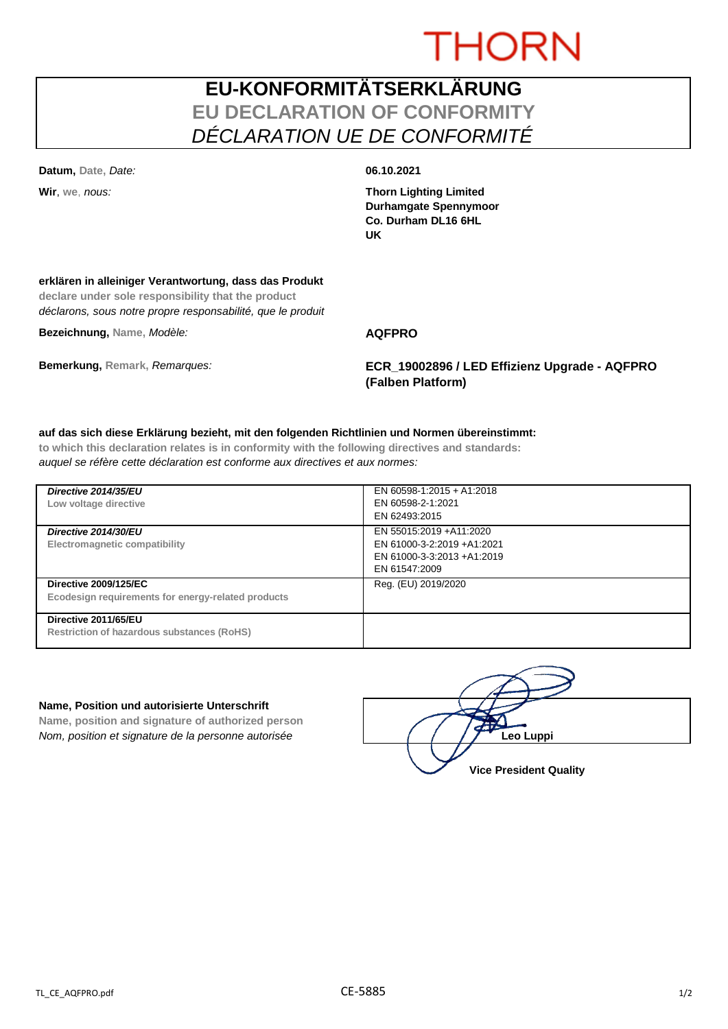# **THORN**

## **EU-KONFORMITÄTSERKLÄRUNG EU DECLARATION OF CONFORMITY** *DÉCLARATION UE DE CONFORMITÉ*

**Datum, Date,** *Date:* **06.10.2021**

**Wir**, **we**, *nous:* **Thorn Lighting Limited Durhamgate Spennymoor Co. Durham DL16 6HL UK**

### **erklären in alleiniger Verantwortung, dass das Produkt**

**declare under sole responsibility that the product** *déclarons, sous notre propre responsabilité, que le produit*

**Bezeichnung, Name,** *Modèle:* **AQFPRO**

**Bemerkung, Remark,** *Remarques:* **ECR\_19002896 / LED Effizienz Upgrade - AQFPRO (Falben Platform)**

#### **auf das sich diese Erklärung bezieht, mit den folgenden Richtlinien und Normen übereinstimmt:**

**to which this declaration relates is in conformity with the following directives and standards:** *auquel se réfère cette déclaration est conforme aux directives et aux normes:*

| Directive 2014/35/EU<br>Low voltage directive                                      | EN 60598-1:2015 + A1:2018<br>EN 60598-2-1:2021<br>EN 62493:2015                                      |
|------------------------------------------------------------------------------------|------------------------------------------------------------------------------------------------------|
| Directive 2014/30/EU<br>Electromagnetic compatibility                              | EN 55015:2019 +A11:2020<br>EN 61000-3-2:2019 +A1:2021<br>EN 61000-3-3:2013 +A1:2019<br>EN 61547:2009 |
| <b>Directive 2009/125/EC</b><br>Ecodesign requirements for energy-related products | Reg. (EU) 2019/2020                                                                                  |
| Directive 2011/65/EU<br>Restriction of hazardous substances (RoHS)                 |                                                                                                      |

#### **Name, Position und autorisierte Unterschrift**

**Name, position and signature of authorized person** *Nom, position et signature de la personne autorisée*  $\left| \begin{array}{cc} | & | & | \end{array} \right|$  / / / **/ Leo Luppi** 

**Vice President Quality**